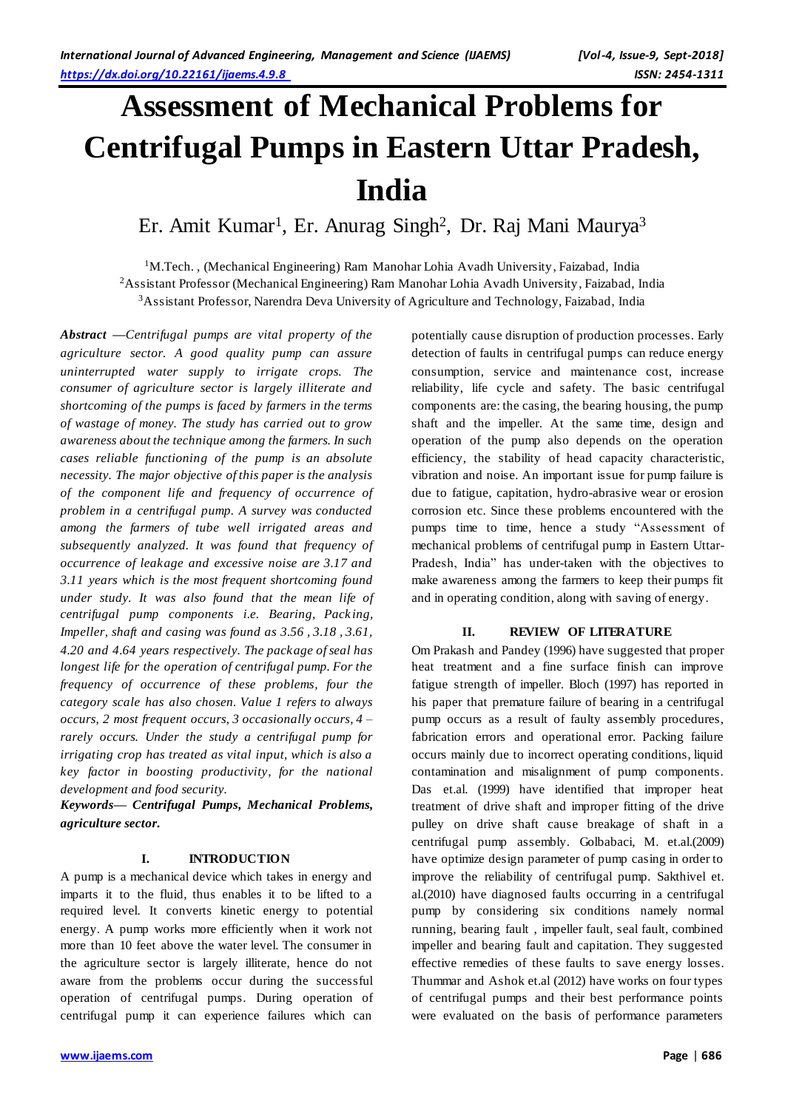# **Assessment of Mechanical Problems for Centrifugal Pumps in Eastern Uttar Pradesh, India**

Er. Amit Kumar<sup>1</sup>, Er. Anurag Singh<sup>2</sup>, Dr. Raj Mani Maurya<sup>3</sup>

<sup>1</sup>M.Tech. , (Mechanical Engineering) Ram Manohar Lohia Avadh University, Faizabad, India <sup>2</sup>Assistant Professor (Mechanical Engineering) Ram Manohar Lohia Avadh University, Faizabad, India <sup>3</sup>Assistant Professor, Narendra Deva University of Agriculture and Technology, Faizabad, India

*Abstract —Centrifugal pumps are vital property of the agriculture sector. A good quality pump can assure uninterrupted water supply to irrigate crops. The consumer of agriculture sector is largely illiterate and shortcoming of the pumps is faced by farmers in the terms of wastage of money. The study has carried out to grow awareness about the technique among the farmers. In such cases reliable functioning of the pump is an absolute necessity. The major objective of this paper is the analysis of the component life and frequency of occurrence of problem in a centrifugal pump. A survey was conducted among the farmers of tube well irrigated areas and subsequently analyzed. It was found that frequency of occurrence of leakage and excessive noise are 3.17 and 3.11 years which is the most frequent shortcoming found under study. It was also found that the mean life of centrifugal pump components i.e. Bearing, Pack ing, Impeller, shaft and casing was found as 3.56 , 3.18 , 3.61, 4.20 and 4.64 years respectively. The package of seal has longest life for the operation of centrifugal pump. For the frequency of occurrence of these problems, four the category scale has also chosen. Value 1 refers to always occurs, 2 most frequent occurs, 3 occasionally occurs, 4 – rarely occurs. Under the study a centrifugal pump for irrigating crop has treated as vital input, which is also a key factor in boosting productivity, for the national development and food security.*

*Keywords— Centrifugal Pumps, Mechanical Problems, agriculture sector.*

#### **I. INTRODUCTION**

A pump is a mechanical device which takes in energy and imparts it to the fluid, thus enables it to be lifted to a required level. It converts kinetic energy to potential energy. A pump works more efficiently when it work not more than 10 feet above the water level. The consumer in the agriculture sector is largely illiterate, hence do not aware from the problems occur during the successful operation of centrifugal pumps. During operation of centrifugal pump it can experience failures which can

potentially cause disruption of production processes. Early detection of faults in centrifugal pumps can reduce energy consumption, service and maintenance cost, increase reliability, life cycle and safety. The basic centrifugal components are: the casing, the bearing housing, the pump shaft and the impeller. At the same time, design and operation of the pump also depends on the operation efficiency, the stability of head capacity characteristic, vibration and noise. An important issue for pump failure is due to fatigue, capitation, hydro-abrasive wear or erosion corrosion etc. Since these problems encountered with the pumps time to time, hence a study "Assessment of mechanical problems of centrifugal pump in Eastern Uttar-Pradesh, India" has under-taken with the objectives to make awareness among the farmers to keep their pumps fit and in operating condition, along with saving of energy.

#### **II. REVIEW OF LITERATURE**

Om Prakash and Pandey (1996) have suggested that proper heat treatment and a fine surface finish can improve fatigue strength of impeller. Bloch (1997) has reported in his paper that premature failure of bearing in a centrifugal pump occurs as a result of faulty assembly procedures, fabrication errors and operational error. Packing failure occurs mainly due to incorrect operating conditions, liquid contamination and misalignment of pump components. Das et.al. (1999) have identified that improper heat treatment of drive shaft and improper fitting of the drive pulley on drive shaft cause breakage of shaft in a centrifugal pump assembly. Golbabaci, M. et.al.(2009) have optimize design parameter of pump casing in order to improve the reliability of centrifugal pump. Sakthivel et. al.(2010) have diagnosed faults occurring in a centrifugal pump by considering six conditions namely normal running, bearing fault , impeller fault, seal fault, combined impeller and bearing fault and capitation. They suggested effective remedies of these faults to save energy losses. Thummar and Ashok et.al (2012) have works on four types of centrifugal pumps and their best performance points were evaluated on the basis of performance parameters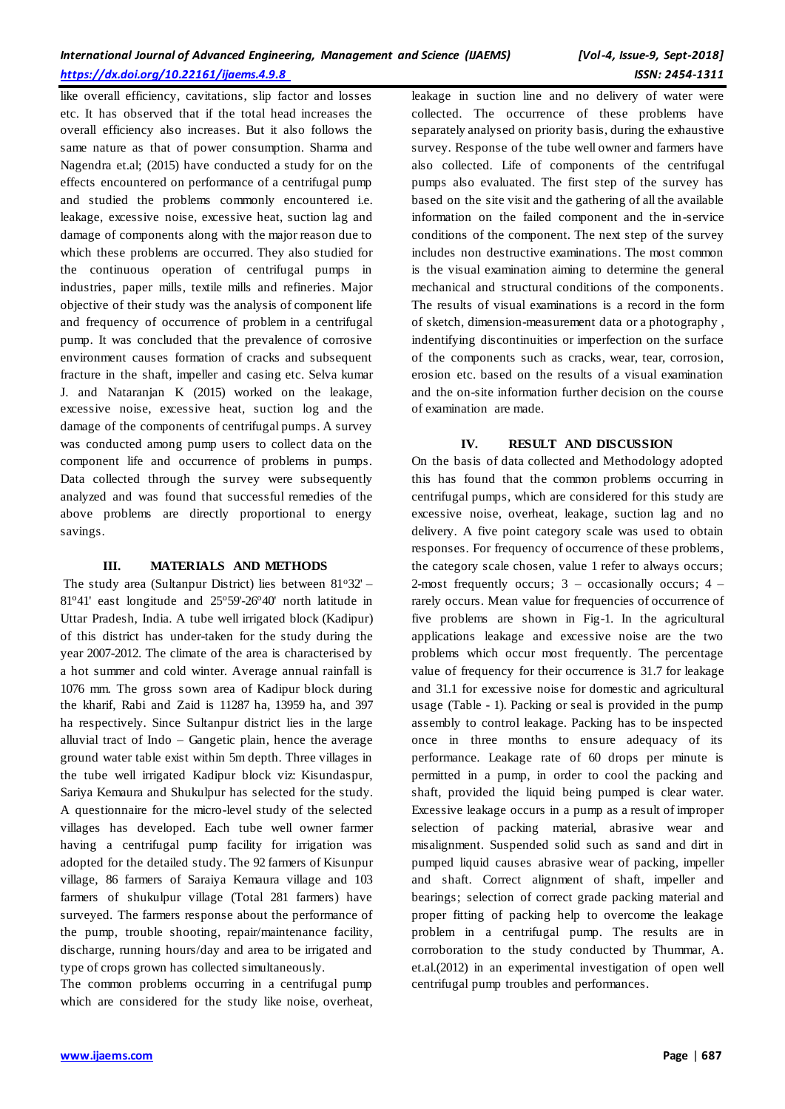like overall efficiency, cavitations, slip factor and losses etc. It has observed that if the total head increases the overall efficiency also increases. But it also follows the same nature as that of power consumption. Sharma and Nagendra et.al; (2015) have conducted a study for on the effects encountered on performance of a centrifugal pump and studied the problems commonly encountered i.e. leakage, excessive noise, excessive heat, suction lag and damage of components along with the major reason due to which these problems are occurred. They also studied for the continuous operation of centrifugal pumps in industries, paper mills, textile mills and refineries. Major objective of their study was the analysis of component life and frequency of occurrence of problem in a centrifugal pump. It was concluded that the prevalence of corrosive environment causes formation of cracks and subsequent fracture in the shaft, impeller and casing etc. Selva kumar J. and Nataranjan K (2015) worked on the leakage, excessive noise, excessive heat, suction log and the damage of the components of centrifugal pumps. A survey was conducted among pump users to collect data on the component life and occurrence of problems in pumps. Data collected through the survey were subsequently analyzed and was found that successful remedies of the above problems are directly proportional to energy savings.

## **III. MATERIALS AND METHODS**

The study area (Sultanpur District) lies between  $81°32'$  – 81°41' east longitude and 25°59'-26°40' north latitude in Uttar Pradesh, India. A tube well irrigated block (Kadipur) of this district has under-taken for the study during the year 2007-2012. The climate of the area is characterised by a hot summer and cold winter. Average annual rainfall is 1076 mm. The gross sown area of Kadipur block during the kharif, Rabi and Zaid is 11287 ha, 13959 ha, and 397 ha respectively. Since Sultanpur district lies in the large alluvial tract of Indo – Gangetic plain, hence the average ground water table exist within 5m depth. Three villages in the tube well irrigated Kadipur block viz: Kisundaspur, Sariya Kemaura and Shukulpur has selected for the study. A questionnaire for the micro-level study of the selected villages has developed. Each tube well owner farmer having a centrifugal pump facility for irrigation was adopted for the detailed study. The 92 farmers of Kisunpur village, 86 farmers of Saraiya Kemaura village and 103 farmers of shukulpur village (Total 281 farmers) have surveyed. The farmers response about the performance of the pump, trouble shooting, repair/maintenance facility, discharge, running hours/day and area to be irrigated and type of crops grown has collected simultaneously.

The common problems occurring in a centrifugal pump which are considered for the study like noise, overheat, leakage in suction line and no delivery of water were collected. The occurrence of these problems have separately analysed on priority basis, during the exhaustive survey. Response of the tube well owner and farmers have also collected. Life of components of the centrifugal pumps also evaluated. The first step of the survey has based on the site visit and the gathering of all the available information on the failed component and the in-service conditions of the component. The next step of the survey includes non destructive examinations. The most common is the visual examination aiming to determine the general mechanical and structural conditions of the components. The results of visual examinations is a record in the form of sketch, dimension-measurement data or a photography , indentifying discontinuities or imperfection on the surface of the components such as cracks, wear, tear, corrosion, erosion etc. based on the results of a visual examination and the on-site information further decision on the course of examination are made.

## **IV. RESULT AND DISCUSSION**

On the basis of data collected and Methodology adopted this has found that the common problems occurring in centrifugal pumps, which are considered for this study are excessive noise, overheat, leakage, suction lag and no delivery. A five point category scale was used to obtain responses. For frequency of occurrence of these problems, the category scale chosen, value 1 refer to always occurs; 2-most frequently occurs;  $3 -$  occasionally occurs;  $4$ rarely occurs. Mean value for frequencies of occurrence of five problems are shown in Fig-1. In the agricultural applications leakage and excessive noise are the two problems which occur most frequently. The percentage value of frequency for their occurrence is 31.7 for leakage and 31.1 for excessive noise for domestic and agricultural usage (Table - 1). Packing or seal is provided in the pump assembly to control leakage. Packing has to be inspected once in three months to ensure adequacy of its performance. Leakage rate of 60 drops per minute is permitted in a pump, in order to cool the packing and shaft, provided the liquid being pumped is clear water. Excessive leakage occurs in a pump as a result of improper selection of packing material, abrasive wear and misalignment. Suspended solid such as sand and dirt in pumped liquid causes abrasive wear of packing, impeller and shaft. Correct alignment of shaft, impeller and bearings; selection of correct grade packing material and proper fitting of packing help to overcome the leakage problem in a centrifugal pump. The results are in corroboration to the study conducted by Thummar, A. et.al.(2012) in an experimental investigation of open well centrifugal pump troubles and performances.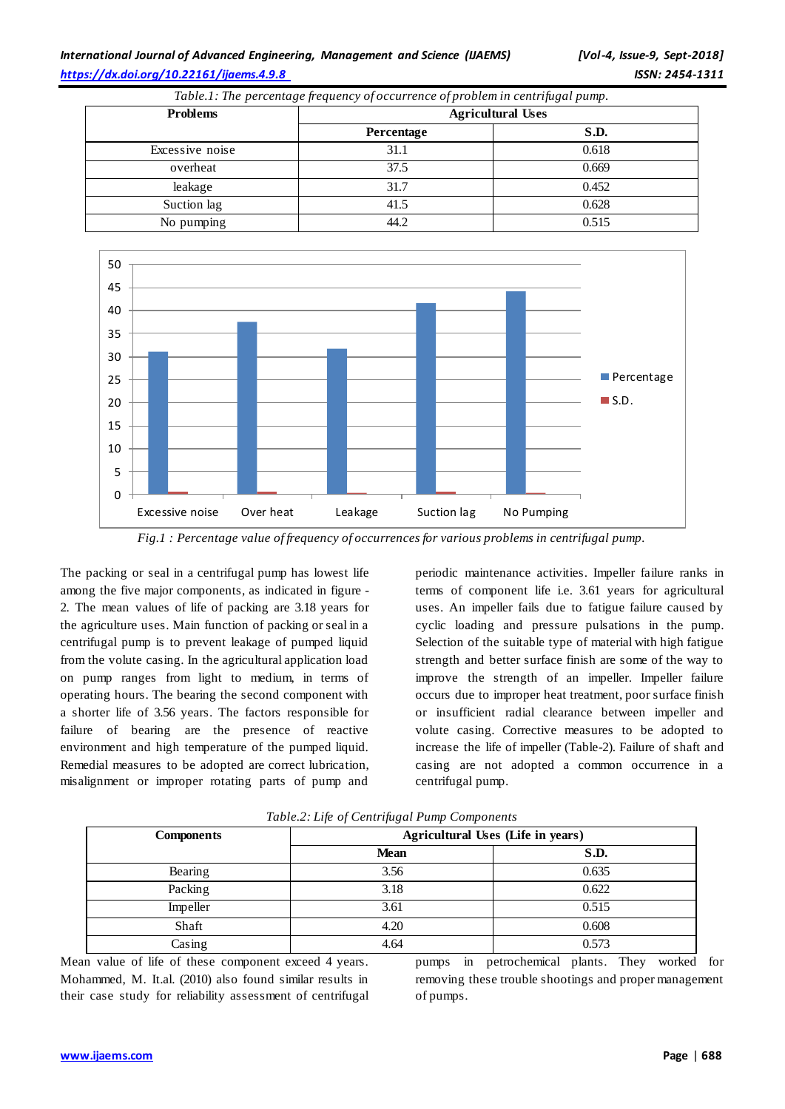## *International Journal of Advanced Engineering, Management and Science (IJAEMS) [Vol-4, Issue-9, Sept-2018] <https://dx.doi.org/10.22161/ijaems.4.9.8> ISSN: 2454-1311*

*Table.1: The percentage frequency of occurrence of problem in centrifugal pump.*

| <b>Problems</b> | <b>Agricultural Uses</b> |       |
|-----------------|--------------------------|-------|
|                 | Percentage               | S.D.  |
| Excessive noise | 31.1                     | 0.618 |
| overheat        | 37.5                     | 0.669 |
| leakage         | 31.7                     | 0.452 |
| Suction lag     | 41.5                     | 0.628 |
| No pumping      | 44.2                     | 0.515 |



*Fig.1 : Percentage value of frequency of occurrences for various problems in centrifugal pump.*

The packing or seal in a centrifugal pump has lowest life among the five major components, as indicated in figure - 2. The mean values of life of packing are 3.18 years for the agriculture uses. Main function of packing or seal in a centrifugal pump is to prevent leakage of pumped liquid from the volute casing. In the agricultural application load on pump ranges from light to medium, in terms of operating hours. The bearing the second component with a shorter life of 3.56 years. The factors responsible for failure of bearing are the presence of reactive environment and high temperature of the pumped liquid. Remedial measures to be adopted are correct lubrication, misalignment or improper rotating parts of pump and

periodic maintenance activities. Impeller failure ranks in terms of component life i.e. 3.61 years for agricultural uses. An impeller fails due to fatigue failure caused by cyclic loading and pressure pulsations in the pump. Selection of the suitable type of material with high fatigue strength and better surface finish are some of the way to improve the strength of an impeller. Impeller failure occurs due to improper heat treatment, poor surface finish or insufficient radial clearance between impeller and volute casing. Corrective measures to be adopted to increase the life of impeller (Table-2). Failure of shaft and casing are not adopted a common occurrence in a centrifugal pump.

| $\cdot$<br>v v             |                                   |       |  |
|----------------------------|-----------------------------------|-------|--|
| <b>Components</b>          | Agricultural Uses (Life in years) |       |  |
|                            | <b>Mean</b>                       | S.D.  |  |
| Bearing                    | 3.56                              | 0.635 |  |
| Packing                    | 3.18                              | 0.622 |  |
| Impeller                   | 3.61                              | 0.515 |  |
| Shaft                      | 4.20                              | 0.608 |  |
| $\overline{\text{Casing}}$ | 4.64                              | 0.573 |  |

*Table.2: Life of Centrifugal Pump Components*

Mean value of life of these component exceed 4 years. Mohammed, M. It.al. (2010) also found similar results in their case study for reliability assessment of centrifugal pumps in petrochemical plants. They worked for removing these trouble shootings and proper management of pumps.